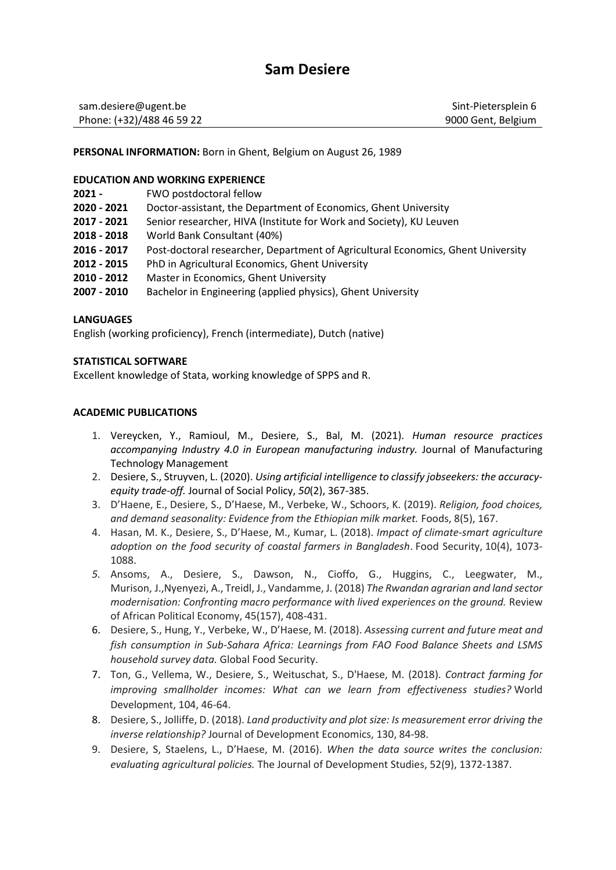# **Sam Desiere**

| sam.desiere@ugent.be      | Sint-Pietersplein 6 |
|---------------------------|---------------------|
| Phone: (+32)/488 46 59 22 | 9000 Gent, Belgium  |

**PERSONAL INFORMATION:** Born in Ghent, Belgium on August 26, 1989

#### **EDUCATION AND WORKING EXPERIENCE**

- **2021 -** FWO postdoctoral fellow
- **2020 - 2021** Doctor-assistant, the Department of Economics, Ghent University
- **2017 - 2021** Senior researcher, HIVA (Institute for Work and Society), KU Leuven
- **2018 - 2018** World Bank Consultant (40%)
- **2016 - 2017** Post-doctoral researcher, Department of Agricultural Economics, Ghent University
- **2012 - 2015** PhD in Agricultural Economics, Ghent University
- **2010 - 2012** Master in Economics, Ghent University
- **2007 - 2010** Bachelor in Engineering (applied physics), Ghent University

## **LANGUAGES**

English (working proficiency), French (intermediate), Dutch (native)

## **STATISTICAL SOFTWARE**

Excellent knowledge of Stata, working knowledge of SPPS and R.

## **ACADEMIC PUBLICATIONS**

- 1. Vereycken, Y., Ramioul, M., Desiere, S., Bal, M. (2021). *Human resource practices accompanying Industry 4.0 in European manufacturing industry.* Journal of Manufacturing Technology Management
- 2. Desiere, S., Struyven, L. (2020). *Using artificial intelligence to classify jobseekers: the accuracyequity trade-off.* Journal of Social Policy, *50*(2), 367-385.
- 3. D'Haene, E., Desiere, S., D'Haese, M., Verbeke, W., Schoors, K. (2019). *Religion, food choices, and demand seasonality: Evidence from the Ethiopian milk market.* Foods, 8(5), 167.
- 4. Hasan, M. K., Desiere, S., D'Haese, M., Kumar, L. (2018). *Impact of climate-smart agriculture adoption on the food security of coastal farmers in Bangladesh*. Food Security, 10(4), 1073- 1088.
- *5.* Ansoms, A., Desiere, S., Dawson, N., Cioffo, G., Huggins, C., Leegwater, M., Murison, J.,Nyenyezi, A., Treidl, J., Vandamme, J. (2018) *The Rwandan agrarian and land sector modernisation: Confronting macro performance with lived experiences on the ground.* Review of African Political Economy, 45(157), 408-431.
- 6. Desiere, S., Hung, Y., Verbeke, W., D'Haese, M. (2018). *Assessing current and future meat and fish consumption in Sub-Sahara Africa: Learnings from FAO Food Balance Sheets and LSMS household survey data.* Global Food Security.
- 7. Ton, G., Vellema, W., Desiere, S., Weituschat, S., D'Haese, M. (2018). *Contract farming for improving smallholder incomes: What can we learn from effectiveness studies?* World Development, 104, 46-64.
- 8. Desiere, S., Jolliffe, D. (2018). *Land productivity and plot size: Is measurement error driving the inverse relationship?* Journal of Development Economics, 130, 84-98.
- 9. Desiere, S, Staelens, L., D'Haese, M. (2016). *When the data source writes the conclusion: evaluating agricultural policies.* The Journal of Development Studies, 52(9), 1372-1387.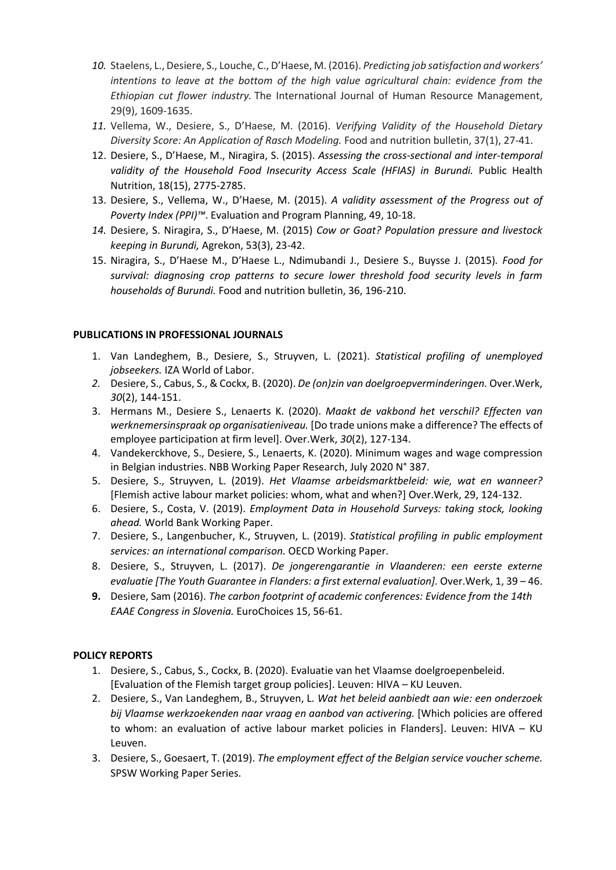- *10.* Staelens, L., Desiere, S., Louche, C., D'Haese, M. (2016). *Predicting job satisfaction and workers' intentions to leave at the bottom of the high value agricultural chain: evidence from the Ethiopian cut flower industry.* The International Journal of Human Resource Management, 29(9), 1609-1635.
- *11.* Vellema, W., Desiere, S., D'Haese, M. (2016). *Verifying Validity of the Household Dietary Diversity Score: An Application of Rasch Modeling.* Food and nutrition bulletin, 37(1), 27-41.
- 12. Desiere, S., D'Haese, M., Niragira, S. (2015). *Assessing the cross-sectional and inter-temporal*  validity of the Household Food Insecurity Access Scale (HFIAS) in Burundi. Public Health Nutrition, 18(15), 2775-2785.
- 13. Desiere, S., Vellema, W., D'Haese, M. (2015). *A validity assessment of the Progress out of Poverty Index (PPI)™*. Evaluation and Program Planning, 49, 10-18.
- *14.* Desiere, S. Niragira, S., D'Haese, M. (2015) *Cow or Goat? Population pressure and livestock keeping in Burundi,* Agrekon, 53(3), 23-42.
- 15. Niragira, S., D'Haese M., D'Haese L., Ndimubandi J., Desiere S., Buysse J. (2015)*. Food for survival: diagnosing crop patterns to secure lower threshold food security levels in farm households of Burundi.* Food and nutrition bulletin, 36, 196-210.

## **PUBLICATIONS IN PROFESSIONAL JOURNALS**

- 1. Van Landeghem, B., Desiere, S., Struyven, L. (2021). *Statistical profiling of unemployed jobseekers.* IZA World of Labor.
- *2.* Desiere, S., Cabus, S., & Cockx, B. (2020). *De (on)zin van doelgroepverminderingen.* Over.Werk, *30*(2), 144-151.
- 3. Hermans M., Desiere S., Lenaerts K. (2020). *Maakt de vakbond het verschil? Effecten van werknemersinspraak op organisatieniveau.* [Do trade unions make a difference? The effects of employee participation at firm level]. Over.Werk, *30*(2), 127-134.
- 4. Vandekerckhove, S., Desiere, S., Lenaerts, K. (2020). Minimum wages and wage compression in Belgian industries. NBB Working Paper Research, July 2020 N° 387.
- 5. Desiere, S., Struyven, L. (2019). *Het Vlaamse arbeidsmarktbeleid: wie, wat en wanneer?*  [Flemish active labour market policies: whom, what and when?] Over.Werk, 29, 124-132.
- 6. Desiere, S., Costa, V. (2019). *Employment Data in Household Surveys: taking stock, looking ahead.* World Bank Working Paper.
- 7. Desiere, S., Langenbucher, K., Struyven, L. (2019). *Statistical profiling in public employment services: an international comparison.* OECD Working Paper.
- 8. Desiere, S., Struyven, L. (2017). *De jongerengarantie in Vlaanderen: een eerste externe evaluatie [The Youth Guarantee in Flanders: a first external evaluation].* Over.Werk, 1, 39 – 46.
- **9.** Desiere, Sam (2016). *The carbon footprint of academic conferences: Evidence from the 14th EAAE Congress in Slovenia.* EuroChoices 15, 56-61.

#### **POLICY REPORTS**

- 1. Desiere, S., Cabus, S., Cockx, B. (2020). Evaluatie van het Vlaamse doelgroepenbeleid. [Evaluation of the Flemish target group policies]. Leuven: HIVA – KU Leuven.
- 2. Desiere, S., Van Landeghem, B., Struyven, L. *Wat het beleid aanbiedt aan wie: een onderzoek bij Vlaamse werkzoekenden naar vraag en aanbod van activering.* [Which policies are offered to whom: an evaluation of active labour market policies in Flanders]. Leuven: HIVA – KU Leuven.
- 3. Desiere, S., Goesaert, T. (2019). *The employment effect of the Belgian service voucher scheme.* SPSW Working Paper Series.